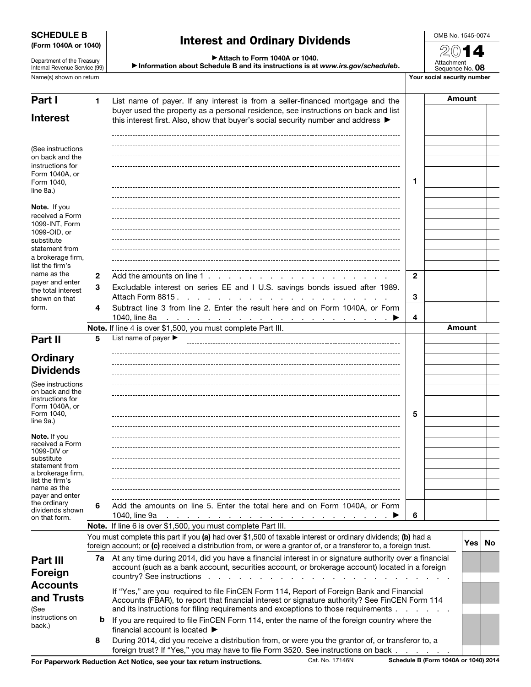## SCHEDULE B (Form 1040A or 1040)

Department of the Treasury Internal Revenue Service (99) Interest and Ordinary Dividends

▶ Attach to Form 1040A or 1040. ▶ Information about Schedule B and its instructions is at *www.irs.gov/scheduleb*. OMB No. 1545-0074

2014 Attachment Sequence No. 08 Name(s) shown on return The Term of Term of Term of Term of Term of Term of Term of Term of Term of Term of Term of Term of Term of Term of Term of Term of Term of Term of Term of Term of Term of Term of Term of Term of Te

| Part I                                                                                                                                                          | 1.           | List name of payer. If any interest is from a seller-financed mortgage and the                                                                                                                                                                                                   |              |  | <b>Amount</b> |           |
|-----------------------------------------------------------------------------------------------------------------------------------------------------------------|--------------|----------------------------------------------------------------------------------------------------------------------------------------------------------------------------------------------------------------------------------------------------------------------------------|--------------|--|---------------|-----------|
| <b>Interest</b>                                                                                                                                                 |              | buyer used the property as a personal residence, see instructions on back and list<br>this interest first. Also, show that buyer's social security number and address $\blacktriangleright$                                                                                      |              |  |               |           |
| (See instructions<br>on back and the<br>instructions for<br>Form 1040A, or<br>Form 1040,<br>line 8a.)                                                           |              |                                                                                                                                                                                                                                                                                  | 1            |  |               |           |
| Note. If you<br>received a Form<br>1099-INT, Form<br>1099-OID, or<br>substitute<br>statement from<br>a brokerage firm,<br>list the firm's                       |              |                                                                                                                                                                                                                                                                                  |              |  |               |           |
| name as the<br>payer and enter                                                                                                                                  | $\mathbf{2}$ | Add the amounts on line 1.                                                                                                                                                                                                                                                       | $\mathbf{2}$ |  |               |           |
| the total interest<br>shown on that<br>form.                                                                                                                    | 3            | Excludable interest on series EE and I U.S. savings bonds issued after 1989.<br>Attach Form 8815.                                                                                                                                                                                | 3            |  |               |           |
|                                                                                                                                                                 | 4            | Subtract line 3 from line 2. Enter the result here and on Form 1040A, or Form<br>1040, line 8a                                                                                                                                                                                   | 4            |  |               |           |
|                                                                                                                                                                 |              | $\mathcal{L}$ . The contract of the contract of the contract of the contract of $\mathcal{L}$<br>Note. If line 4 is over \$1,500, you must complete Part III.                                                                                                                    |              |  | Amount        |           |
| Part II                                                                                                                                                         | 5            | List name of payer $\blacktriangleright$                                                                                                                                                                                                                                         |              |  |               |           |
| <b>Ordinary</b>                                                                                                                                                 |              |                                                                                                                                                                                                                                                                                  |              |  |               |           |
| <b>Dividends</b>                                                                                                                                                |              |                                                                                                                                                                                                                                                                                  |              |  |               |           |
| (See instructions<br>on back and the<br>instructions for<br>Form 1040A, or<br>Form 1040,<br>line 9a.)                                                           |              |                                                                                                                                                                                                                                                                                  | 5            |  |               |           |
| <b>Note.</b> If you<br>received a Form<br>1099-DIV or<br>substitute<br>statement from<br>a brokerage firm,<br>list the firm's<br>name as the<br>payer and enter |              |                                                                                                                                                                                                                                                                                  |              |  |               |           |
| the ordinary<br>dividends shown<br>on that form.                                                                                                                | 6            | Add the amounts on line 5. Enter the total here and on Form 1040A, or Form<br>1040, line 9a                                                                                                                                                                                      | 6            |  |               |           |
|                                                                                                                                                                 |              | Note. If line 6 is over \$1,500, you must complete Part III.                                                                                                                                                                                                                     |              |  |               |           |
|                                                                                                                                                                 |              | You must complete this part if you (a) had over \$1,500 of taxable interest or ordinary dividends; (b) had a<br>foreign account; or (c) received a distribution from, or were a grantor of, or a transferor to, a foreign trust.                                                 |              |  | Yes           | <b>No</b> |
| Part III<br>Foreign                                                                                                                                             |              | 7a At any time during 2014, did you have a financial interest in or signature authority over a financial<br>account (such as a bank account, securities account, or brokerage account) located in a foreign                                                                      |              |  |               |           |
| <b>Accounts</b><br>and Trusts<br>(See                                                                                                                           |              | If "Yes," are you required to file FinCEN Form 114, Report of Foreign Bank and Financial<br>Accounts (FBAR), to report that financial interest or signature authority? See FinCEN Form 114<br>and its instructions for filing requirements and exceptions to those requirements. |              |  |               |           |
| instructions on<br>back.)                                                                                                                                       | b            | If you are required to file FinCEN Form 114, enter the name of the foreign country where the<br>financial account is located ▶                                                                                                                                                   |              |  |               |           |
|                                                                                                                                                                 | 8            | During 2014, did you receive a distribution from, or were you the grantor of, or transferor to, a<br>foreign trust? If "Yes," you may have to file Form 3520. See instructions on back                                                                                           |              |  |               |           |